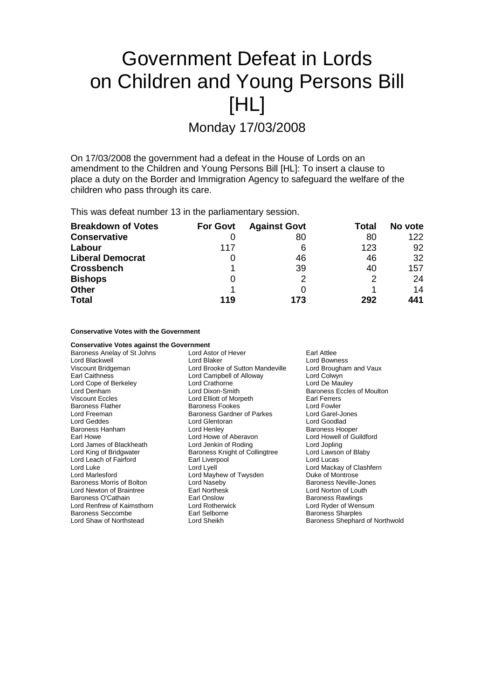# Government Defeat in Lords on Children and Young Persons Bill [HL]

Monday 17/03/2008

On 17/03/2008 the government had a defeat in the House of Lords on an amendment to the Children and Young Persons Bill [HL]: To insert a clause to place a duty on the Border and Immigration Agency to safeguard the welfare of the children who pass through its care.

This was defeat number 13 in the parliamentary session.

| <b>Breakdown of Votes</b> | <b>For Govt</b> | <b>Against Govt</b> | <b>Total</b> | No vote |
|---------------------------|-----------------|---------------------|--------------|---------|
| <b>Conservative</b>       |                 | 80                  | 80           | 122     |
| Labour                    | 117             | 6                   | 123          | 92      |
| <b>Liberal Democrat</b>   |                 | 46                  | 46           | 32      |
| <b>Crossbench</b>         |                 | 39                  | 40           | 157     |
| <b>Bishops</b>            | 0               | っ                   | 2            | 24      |
| <b>Other</b>              |                 |                     |              | 14      |
| <b>Total</b>              | 119             | 173                 | 292          | 441     |

### **Conservative Votes with the Government**

| <b>Conservative Votes against the Government</b> |                                    |                                   |
|--------------------------------------------------|------------------------------------|-----------------------------------|
| Baroness Anelay of St Johns                      | Earl Attlee<br>Lord Astor of Hever |                                   |
| Lord Blackwell                                   | Lord Blaker                        | <b>Lord Bowness</b>               |
| Viscount Bridgeman                               | Lord Brooke of Sutton Mandeville   | Lord Brougham and Vaux            |
| Earl Caithness                                   | Lord Campbell of Alloway           | Lord Colwyn                       |
| Lord Cope of Berkeley                            | Lord Crathorne                     | Lord De Mauley                    |
| Lord Denham                                      | Lord Dixon-Smith                   | <b>Baroness Eccles of Moulton</b> |
| <b>Viscount Eccles</b>                           | Lord Elliott of Morpeth            | <b>Earl Ferrers</b>               |
| <b>Baroness Flather</b>                          | Baroness Fookes                    | Lord Fowler                       |
| Lord Freeman                                     | Baroness Gardner of Parkes         | Lord Garel-Jones                  |
| Lord Geddes                                      | Lord Glentoran                     | Lord Goodlad                      |
| Baroness Hanham                                  | Lord Henley                        | <b>Baroness Hooper</b>            |
| Earl Howe                                        | Lord Howe of Aberavon              | Lord Howell of Guildford          |
| Lord James of Blackheath                         | Lord Jenkin of Roding              | Lord Jopling                      |
| Lord King of Bridgwater                          | Baroness Knight of Collingtree     | Lord Lawson of Blaby              |
| Lord Leach of Fairford                           | Earl Liverpool                     | Lord Lucas                        |
| Lord Luke                                        | Lord Lyell                         | Lord Mackay of Clashfern          |
| Lord Marlesford                                  | Lord Mayhew of Twysden             | Duke of Montrose                  |
| Baroness Morris of Bolton                        | Lord Naseby                        | <b>Baroness Neville-Jones</b>     |
| Lord Newton of Braintree                         | Earl Northesk                      | Lord Norton of Louth              |
| Baroness O'Cathain                               | Earl Onslow                        | <b>Baroness Rawlings</b>          |
| Lord Renfrew of Kaimsthorn                       | Lord Rotherwick                    | Lord Ryder of Wensum              |
| Baroness Seccombe                                | Earl Selborne                      | <b>Baroness Sharples</b>          |
| Lord Shaw of Northstead                          | Lord Sheikh                        | Baroness Shephard of Northwold    |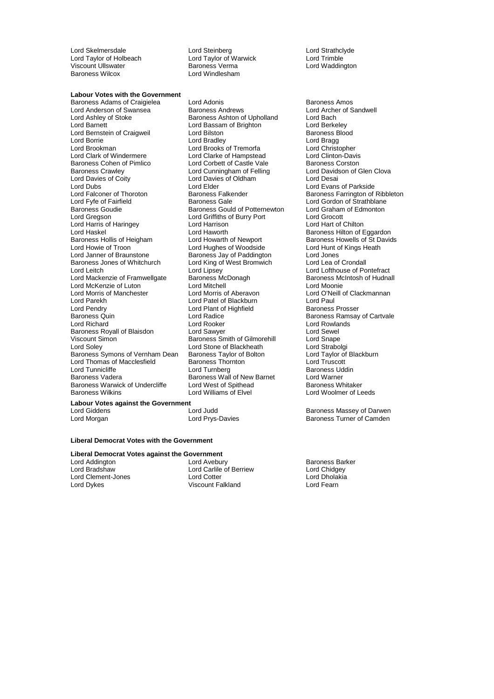Lord Skelmersdale **Lord Steinberg** Lord Steinberg Lord Strathclyde<br>
Lord Taylor of Holbeach **Lord Taylor** of Warwick Lord Trimble Lord Taylor of Holbeach Lord Taylor of Warwick Lord Taylor of Warwick Lord Taylor of Warwick Lord Trimble Unit<br>Lord Trimble Units Corporation Character Baroness Verma Baroness Wilcox **Lord Windlesham** 

Lord Waddington

#### **Labour Votes with the Government**

Lord Anderson of Swansea Baroness Andrews Lord Archer Lord Archer Cord Archer Carolic Baroness Ashton of Upholland Lord Bach Lord Barnett **Lord Bassam of Brighton**<br>
Lord Bernstein of Craigweil **Lord Bilston**<br>
Lord Barness Blood<br>
Lord Bilston Lord Bernstein of Craigweil Lord Bilston Corresponding the Baroness B<br>
Lord Baroness Blood Bradley<br>
Lord Bradley Corresponding Lord Bradley Lord Brookman Lord Brooks of Tremorfa Lord Christopher Lord Clark of Windermere **Lord Clarke of Hampstead** Lord Clinton-Davis<br> **Baroness Cohen of Pimlico** Lord Corbett of Castle Vale Baroness Corston Baroness Cohen of Pimlico **Lord Corbett of Castle Vale** Baroness Corston<br>Baroness Crawley **Baroness Crawley** Lord Cunningham of Felling Lord Davidson of Glen Clova Lord Davies of Coity Lord Davies of Oldham Lord Desai Lord Dubs<br>
Lord Evans of Parkside<br>
Lord Falconer of Thoroton Baroness Falkender Baroness Farrington of Lord Falconer of Thoroton **Baroness Falkender** Baroness Farrington of Ribbleton Lord Exercise Cale **Baroness Cale**<br>
Baroness Gale **Baroness Cale Baroness Cale** Lord Gordon of Strathblane Baroness Goudie **Baroness Gould of Potternewton** Lord Graham of Edmonton<br>
Lord Gregson **Lord Graham Cond** Griffiths of Burry Port Lord Grocott Lord Harris of Haringey Lord Haskel Lord Haworth **Baroness Hilton of Eggardon**<br>Baroness Hollis of Heigham Lord Howarth of Newport **Baroness Howells of St David** Baroness Hollis of Heigham Lord Howarth of Newport Baroness Howells of St Davids<br>
Lord Howie of Troon Lord Hughes of Woodside Lord Hunt of Kings Heath Lord Howie of Troon Lord Hughes of Woodside Lord Hunt of Lord Hunt of Arian Lord Hunt of Lord Jones Heather Cor<br>Lord Janner of Braunstone Lord Baroness Jav of Paddington Lord Jones Baroness Jones of Whitchurch Lord King of West Bromwich<br>
Lord Leitch Lord Clipsev Lord Mackenzie of Framwellgate Lord McKenzie of Luton Lord Mitchell Lord Moonie Lord Morris of Manchester Lord Morris of Aberavon Lord O'Neill of Clackmannan Lord Parekh Lord Patel of Blackburn Lord Paul Lord Pendry **Communist Communist Communist Pendrim**<br>
Lord Radice<br>
Lord Radice Baroness Quin Lord Radice Baroness Ramsay of Cartvale Baroness Royall of Blaisdon Lord Sawyer Cord Sewel<br>
Unit Sewel Cord Sewel Baroness Smith of Gilmorehill Lord Snape Viscount Simon Baroness Smith of Gilmorehill<br>
Lord Soley
Lord Stone of Blackheath Baroness Symons of Vernham Dean Baroness Taylor of Bolton Lord Taylor of Bolton Lord Taylor of Baroness Thornton Lord Truscott Lord Thomas of Macclesfield Baroness Thornton Lord Truscott Lord Turnicliffe **Lord Turnberg** Lord Turnberg **Baroness Udding the Search School**<br>Baroness Vadera **Baroness Wall of New Barnet** Lord Warner Baroness Warwick of Undercliffe<br>Baroness Wilkins

Baroness Adams of Craigielea Lord Adonis Lord Adonis and Baroness Amos<br>
Lord Anderson of Swansea Baroness Andrews Lord Archer of Sandwell Baroness Ashton of Upholland Lord Bradley Lord Cunningham of Felling Lord Griffiths of Burry Port Lord Grocott<br>
Lord Harrison Lord Hart of Chilton Baroness Jay of Paddington<br>
Lord King of West Bromwich Lord Lea of Crondall Lord Lipsey<br>
Baroness McDonagh Baroness McIntosh of Hudnall Lord Rooker **Lord Rooker Lord Rooker Lord Sawyer** Lord Stone of Blackheath Lord Strabolgi<br>
Baroness Taylor of Bolton Lord Taylor of Blackburn Baroness Wall of New Barnet Lord Warner<br>Lord West of Spithead Baroness Whitaker Lord Williams of Elvel Lord Woolmer of Leeds

**Labour Votes against the Government**

#### **Liberal Democrat Votes with the Government**

## **Liberal Democrat Votes against the Government**

Lord Clement-Jones Lord Cotter Lord Dholakia

Lord Addington **Lord Avebury** Baroness Barker<br>
Lord Aradshaw **Baroness Barker**<br>
Lord Carlile of Berriew **Barck Barker** Lord Carlile of Berriew Lord Chidgey<br>
Lord Cotter Lord Chidgey<br>
Lord Cotter Lord Dholakia Viscount Falkland

Lord Gordon of Strathblane

Lord Judd<br>
Lord Prys-Davies<br>
Baroness Turner of Camden Lord Morgan **Lord Prys-Davies** Baroness Turner of Camden